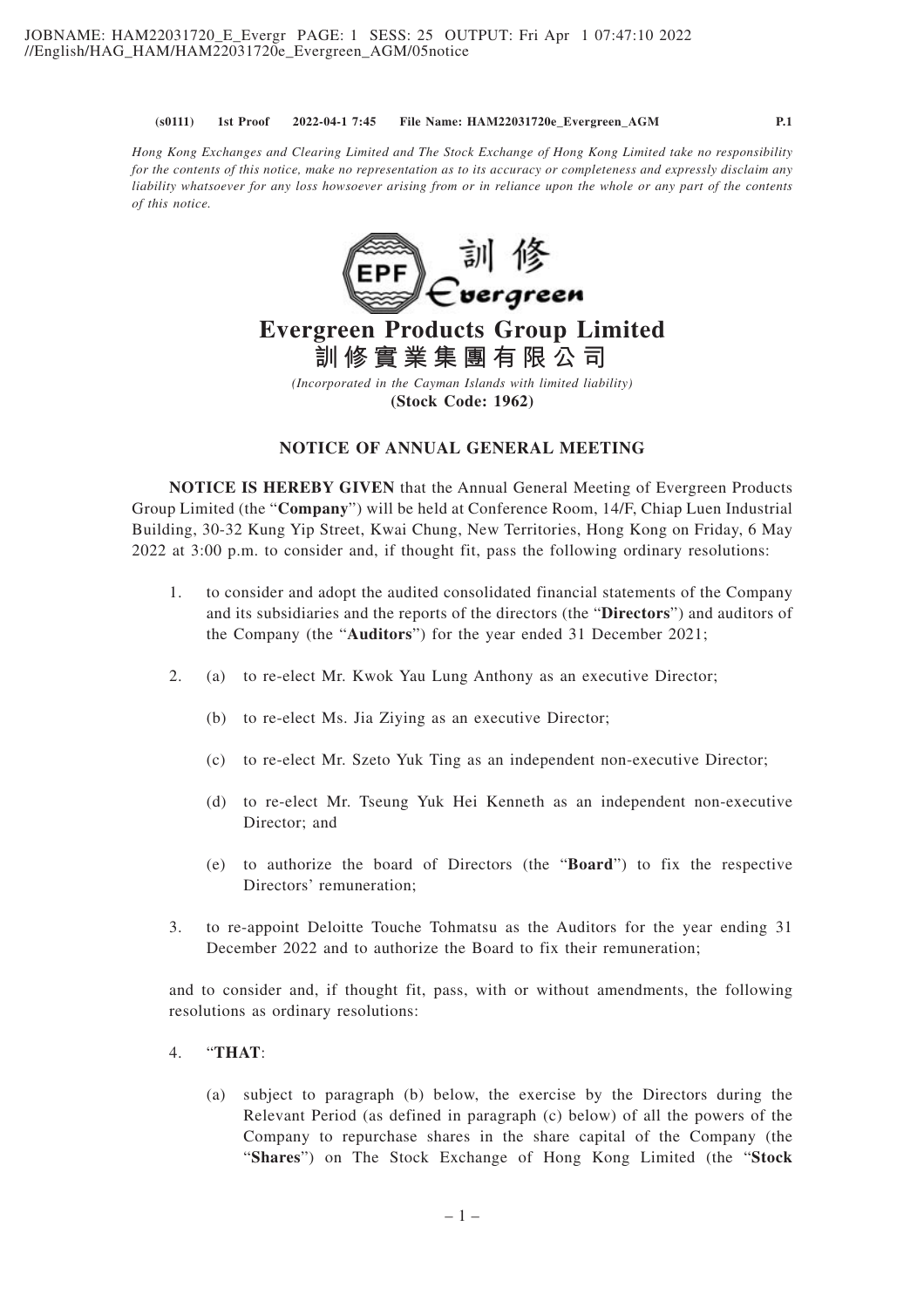*Hong Kong Exchanges and Clearing Limited and The Stock Exchange of Hong Kong Limited take no responsibility for the contents of this notice, make no representation as to its accuracy or completeness and expressly disclaim any liability whatsoever for any loss howsoever arising from or in reliance upon the whole or any part of the contents of this notice.*



# **Evergreen Products Group Limited 訓修實業集團有限公司**

*(Incorporated in the Cayman Islands with limited liability)* **(Stock Code: 1962)**

### **NOTICE OF ANNUAL GENERAL MEETING**

**NOTICE IS HEREBY GIVEN** that the Annual General Meeting of Evergreen Products Group Limited (the "**Company**") will be held at Conference Room, 14/F, Chiap Luen Industrial Building, 30-32 Kung Yip Street, Kwai Chung, New Territories, Hong Kong on Friday, 6 May 2022 at 3:00 p.m. to consider and, if thought fit, pass the following ordinary resolutions:

- 1. to consider and adopt the audited consolidated financial statements of the Company and its subsidiaries and the reports of the directors (the "**Directors**") and auditors of the Company (the "**Auditors**") for the year ended 31 December 2021;
- 2. (a) to re-elect Mr. Kwok Yau Lung Anthony as an executive Director;
	- (b) to re-elect Ms. Jia Ziying as an executive Director;
	- (c) to re-elect Mr. Szeto Yuk Ting as an independent non-executive Director;
	- (d) to re-elect Mr. Tseung Yuk Hei Kenneth as an independent non-executive Director; and
	- (e) to authorize the board of Directors (the "**Board**") to fix the respective Directors' remuneration;
- 3. to re-appoint Deloitte Touche Tohmatsu as the Auditors for the year ending 31 December 2022 and to authorize the Board to fix their remuneration;

and to consider and, if thought fit, pass, with or without amendments, the following resolutions as ordinary resolutions:

## 4. "**THAT**:

(a) subject to paragraph (b) below, the exercise by the Directors during the Relevant Period (as defined in paragraph (c) below) of all the powers of the Company to repurchase shares in the share capital of the Company (the "**Shares**") on The Stock Exchange of Hong Kong Limited (the "**Stock**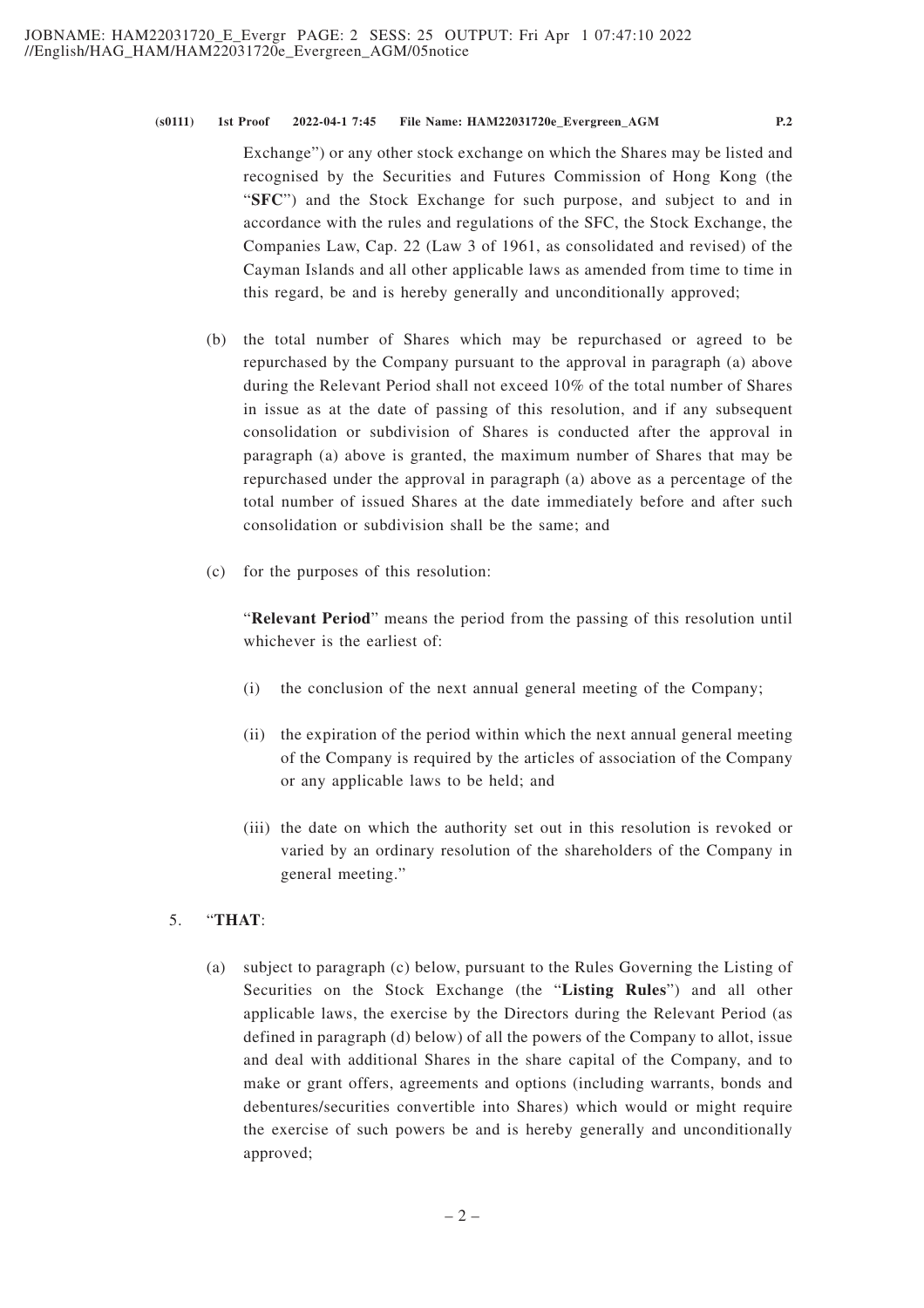Exchange") or any other stock exchange on which the Shares may be listed and recognised by the Securities and Futures Commission of Hong Kong (the "**SFC**") and the Stock Exchange for such purpose, and subject to and in accordance with the rules and regulations of the SFC, the Stock Exchange, the Companies Law, Cap. 22 (Law 3 of 1961, as consolidated and revised) of the Cayman Islands and all other applicable laws as amended from time to time in this regard, be and is hereby generally and unconditionally approved;

- (b) the total number of Shares which may be repurchased or agreed to be repurchased by the Company pursuant to the approval in paragraph (a) above during the Relevant Period shall not exceed 10% of the total number of Shares in issue as at the date of passing of this resolution, and if any subsequent consolidation or subdivision of Shares is conducted after the approval in paragraph (a) above is granted, the maximum number of Shares that may be repurchased under the approval in paragraph (a) above as a percentage of the total number of issued Shares at the date immediately before and after such consolidation or subdivision shall be the same; and
- (c) for the purposes of this resolution:

"**Relevant Period**" means the period from the passing of this resolution until whichever is the earliest of:

- (i) the conclusion of the next annual general meeting of the Company;
- (ii) the expiration of the period within which the next annual general meeting of the Company is required by the articles of association of the Company or any applicable laws to be held; and
- (iii) the date on which the authority set out in this resolution is revoked or varied by an ordinary resolution of the shareholders of the Company in general meeting."

# 5. "**THAT**:

(a) subject to paragraph (c) below, pursuant to the Rules Governing the Listing of Securities on the Stock Exchange (the "**Listing Rules**") and all other applicable laws, the exercise by the Directors during the Relevant Period (as defined in paragraph (d) below) of all the powers of the Company to allot, issue and deal with additional Shares in the share capital of the Company, and to make or grant offers, agreements and options (including warrants, bonds and debentures/securities convertible into Shares) which would or might require the exercise of such powers be and is hereby generally and unconditionally approved;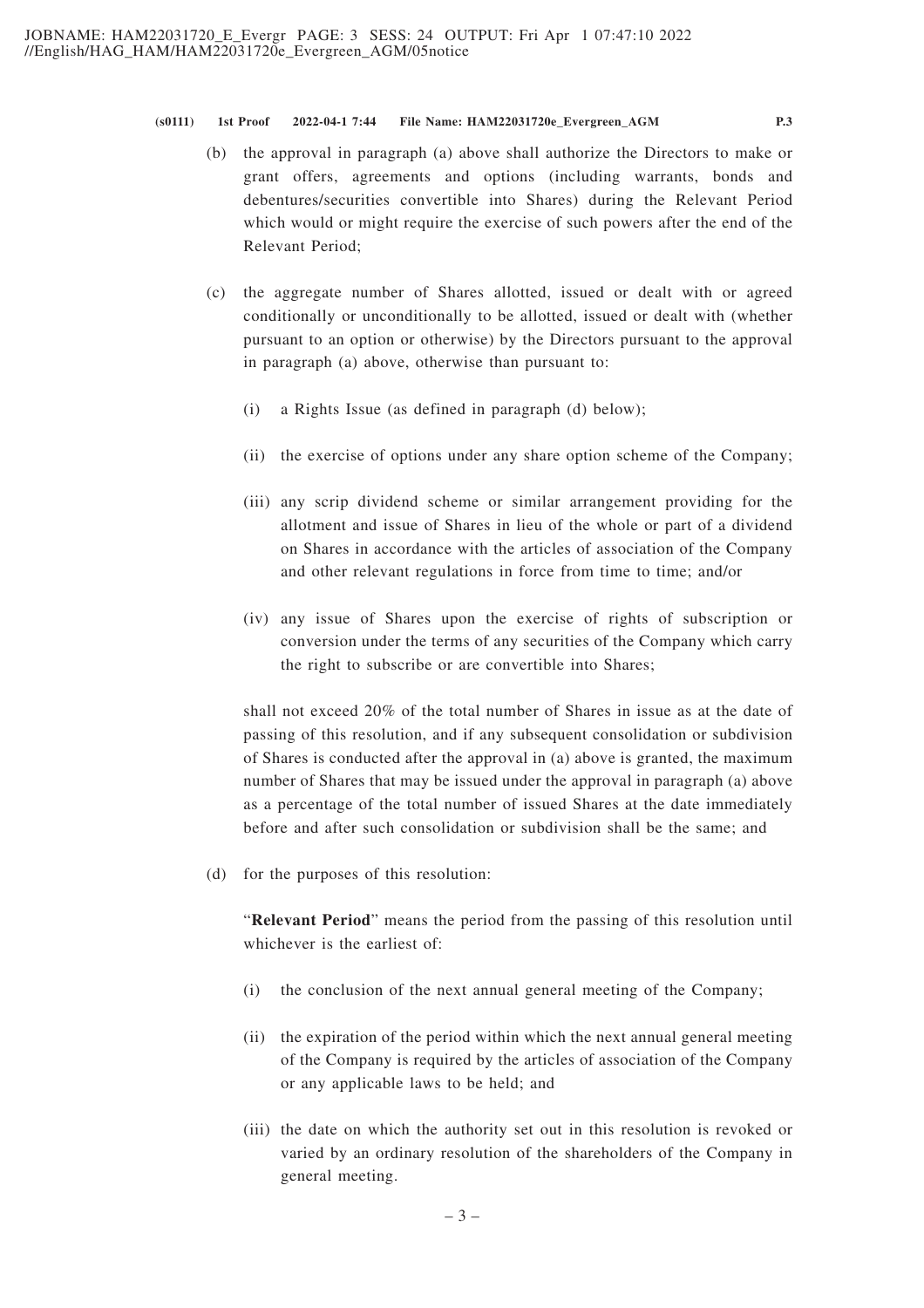- (b) the approval in paragraph (a) above shall authorize the Directors to make or grant offers, agreements and options (including warrants, bonds and debentures/securities convertible into Shares) during the Relevant Period which would or might require the exercise of such powers after the end of the Relevant Period;
- (c) the aggregate number of Shares allotted, issued or dealt with or agreed conditionally or unconditionally to be allotted, issued or dealt with (whether pursuant to an option or otherwise) by the Directors pursuant to the approval in paragraph (a) above, otherwise than pursuant to:
	- (i) a Rights Issue (as defined in paragraph (d) below);
	- (ii) the exercise of options under any share option scheme of the Company;
	- (iii) any scrip dividend scheme or similar arrangement providing for the allotment and issue of Shares in lieu of the whole or part of a dividend on Shares in accordance with the articles of association of the Company and other relevant regulations in force from time to time; and/or
	- (iv) any issue of Shares upon the exercise of rights of subscription or conversion under the terms of any securities of the Company which carry the right to subscribe or are convertible into Shares;

shall not exceed 20% of the total number of Shares in issue as at the date of passing of this resolution, and if any subsequent consolidation or subdivision of Shares is conducted after the approval in (a) above is granted, the maximum number of Shares that may be issued under the approval in paragraph (a) above as a percentage of the total number of issued Shares at the date immediately before and after such consolidation or subdivision shall be the same; and

(d) for the purposes of this resolution:

"**Relevant Period**" means the period from the passing of this resolution until whichever is the earliest of:

- (i) the conclusion of the next annual general meeting of the Company;
- (ii) the expiration of the period within which the next annual general meeting of the Company is required by the articles of association of the Company or any applicable laws to be held; and
- (iii) the date on which the authority set out in this resolution is revoked or varied by an ordinary resolution of the shareholders of the Company in general meeting.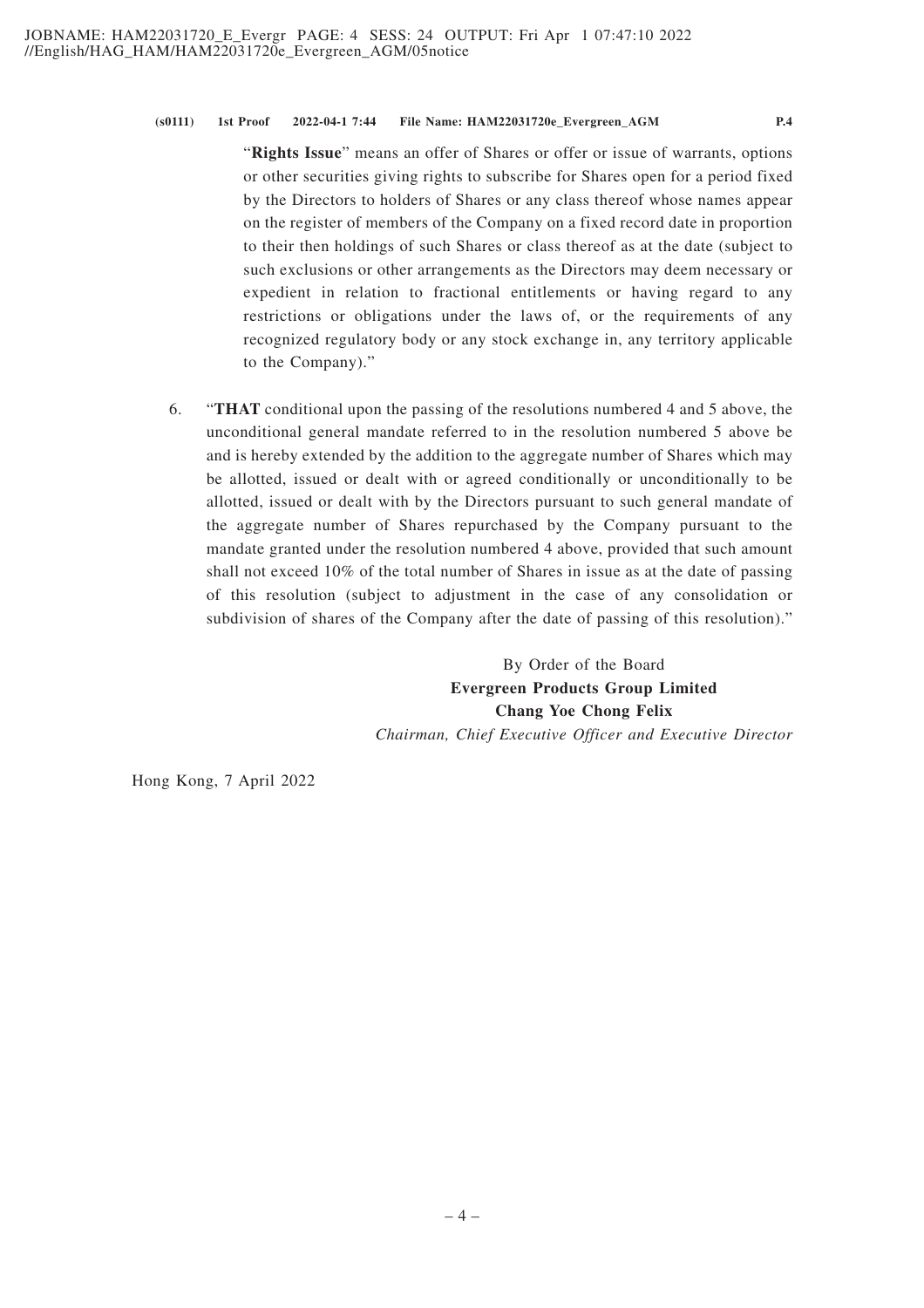"**Rights Issue**" means an offer of Shares or offer or issue of warrants, options or other securities giving rights to subscribe for Shares open for a period fixed by the Directors to holders of Shares or any class thereof whose names appear on the register of members of the Company on a fixed record date in proportion to their then holdings of such Shares or class thereof as at the date (subject to such exclusions or other arrangements as the Directors may deem necessary or expedient in relation to fractional entitlements or having regard to any restrictions or obligations under the laws of, or the requirements of any recognized regulatory body or any stock exchange in, any territory applicable to the Company)."

6. "**THAT** conditional upon the passing of the resolutions numbered 4 and 5 above, the unconditional general mandate referred to in the resolution numbered 5 above be and is hereby extended by the addition to the aggregate number of Shares which may be allotted, issued or dealt with or agreed conditionally or unconditionally to be allotted, issued or dealt with by the Directors pursuant to such general mandate of the aggregate number of Shares repurchased by the Company pursuant to the mandate granted under the resolution numbered 4 above, provided that such amount shall not exceed 10% of the total number of Shares in issue as at the date of passing of this resolution (subject to adjustment in the case of any consolidation or subdivision of shares of the Company after the date of passing of this resolution)."

> By Order of the Board **Evergreen Products Group Limited Chang Yoe Chong Felix** *Chairman, Chief Executive Officer and Executive Director*

Hong Kong, 7 April 2022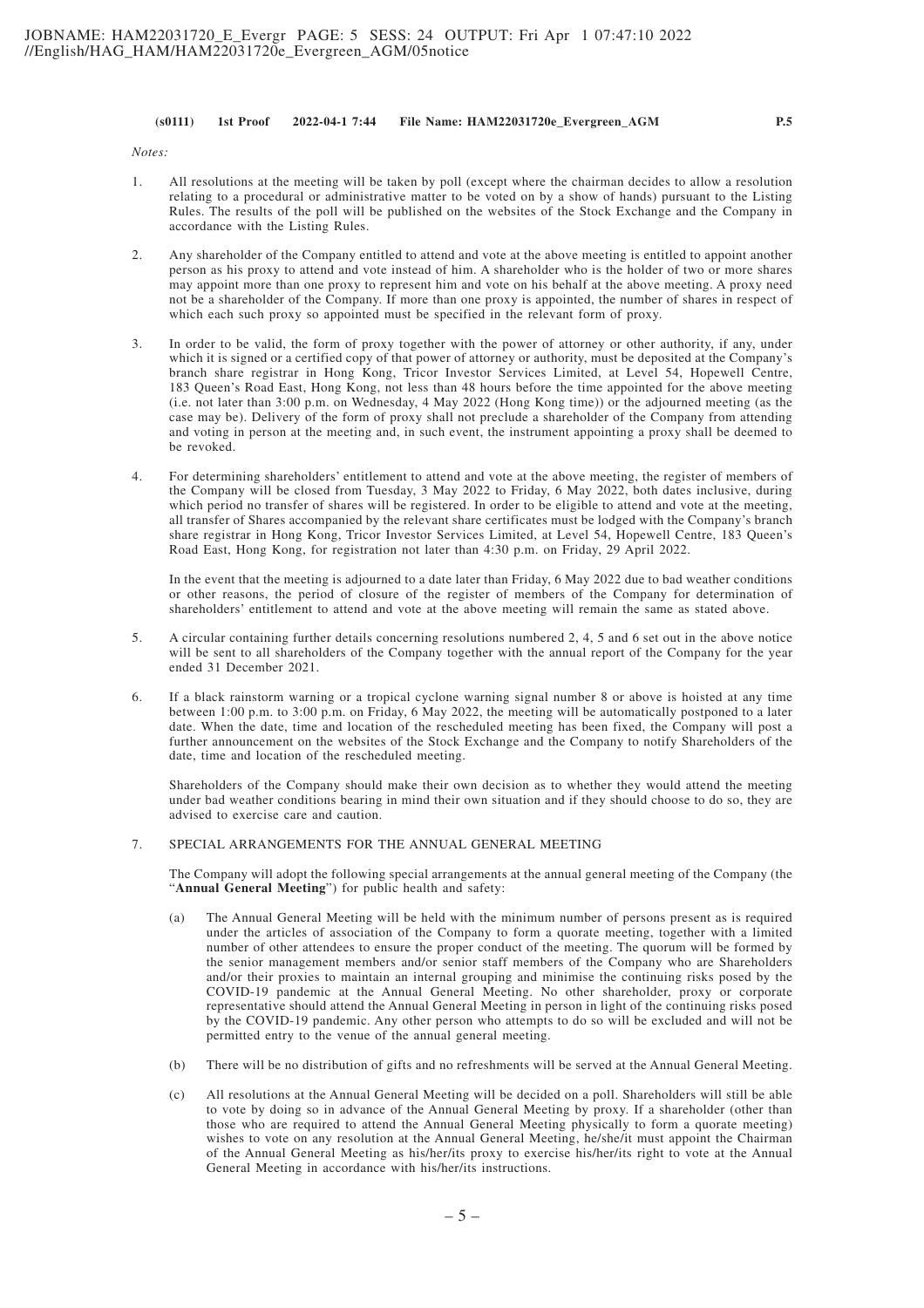*Notes:*

- 1. All resolutions at the meeting will be taken by poll (except where the chairman decides to allow a resolution relating to a procedural or administrative matter to be voted on by a show of hands) pursuant to the Listing Rules. The results of the poll will be published on the websites of the Stock Exchange and the Company in accordance with the Listing Rules.
- 2. Any shareholder of the Company entitled to attend and vote at the above meeting is entitled to appoint another person as his proxy to attend and vote instead of him. A shareholder who is the holder of two or more shares may appoint more than one proxy to represent him and vote on his behalf at the above meeting. A proxy need not be a shareholder of the Company. If more than one proxy is appointed, the number of shares in respect of which each such proxy so appointed must be specified in the relevant form of proxy.
- 3. In order to be valid, the form of proxy together with the power of attorney or other authority, if any, under which it is signed or a certified copy of that power of attorney or authority, must be deposited at the Company's branch share registrar in Hong Kong, Tricor Investor Services Limited, at Level 54, Hopewell Centre, 183 Queen's Road East, Hong Kong, not less than 48 hours before the time appointed for the above meeting (i.e. not later than 3:00 p.m. on Wednesday, 4 May 2022 (Hong Kong time)) or the adjourned meeting (as the case may be). Delivery of the form of proxy shall not preclude a shareholder of the Company from attending and voting in person at the meeting and, in such event, the instrument appointing a proxy shall be deemed to be revoked.
- 4. For determining shareholders' entitlement to attend and vote at the above meeting, the register of members of the Company will be closed from Tuesday, 3 May 2022 to Friday, 6 May 2022, both dates inclusive, during which period no transfer of shares will be registered. In order to be eligible to attend and vote at the meeting, all transfer of Shares accompanied by the relevant share certificates must be lodged with the Company's branch share registrar in Hong Kong, Tricor Investor Services Limited, at Level 54, Hopewell Centre, 183 Queen's Road East, Hong Kong, for registration not later than 4:30 p.m. on Friday, 29 April 2022.

In the event that the meeting is adjourned to a date later than Friday, 6 May 2022 due to bad weather conditions or other reasons, the period of closure of the register of members of the Company for determination of shareholders' entitlement to attend and vote at the above meeting will remain the same as stated above.

- 5. A circular containing further details concerning resolutions numbered 2, 4, 5 and 6 set out in the above notice will be sent to all shareholders of the Company together with the annual report of the Company for the year ended 31 December 2021.
- 6. If a black rainstorm warning or a tropical cyclone warning signal number 8 or above is hoisted at any time between 1:00 p.m. to 3:00 p.m. on Friday, 6 May 2022, the meeting will be automatically postponed to a later date. When the date, time and location of the rescheduled meeting has been fixed, the Company will post a further announcement on the websites of the Stock Exchange and the Company to notify Shareholders of the date, time and location of the rescheduled meeting.

Shareholders of the Company should make their own decision as to whether they would attend the meeting under bad weather conditions bearing in mind their own situation and if they should choose to do so, they are advised to exercise care and caution.

#### 7. SPECIAL ARRANGEMENTS FOR THE ANNUAL GENERAL MEETING

The Company will adopt the following special arrangements at the annual general meeting of the Company (the "**Annual General Meeting**") for public health and safety:

- (a) The Annual General Meeting will be held with the minimum number of persons present as is required under the articles of association of the Company to form a quorate meeting, together with a limited number of other attendees to ensure the proper conduct of the meeting. The quorum will be formed by the senior management members and/or senior staff members of the Company who are Shareholders and/or their proxies to maintain an internal grouping and minimise the continuing risks posed by the COVID-19 pandemic at the Annual General Meeting. No other shareholder, proxy or corporate representative should attend the Annual General Meeting in person in light of the continuing risks posed by the COVID-19 pandemic. Any other person who attempts to do so will be excluded and will not be permitted entry to the venue of the annual general meeting.
- (b) There will be no distribution of gifts and no refreshments will be served at the Annual General Meeting.
- (c) All resolutions at the Annual General Meeting will be decided on a poll. Shareholders will still be able to vote by doing so in advance of the Annual General Meeting by proxy. If a shareholder (other than those who are required to attend the Annual General Meeting physically to form a quorate meeting) wishes to vote on any resolution at the Annual General Meeting, he/she/it must appoint the Chairman of the Annual General Meeting as his/her/its proxy to exercise his/her/its right to vote at the Annual General Meeting in accordance with his/her/its instructions.